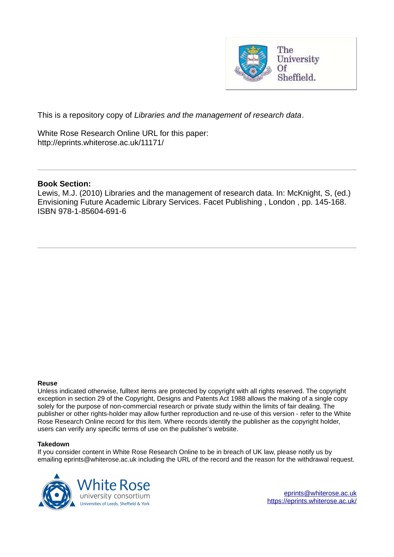

This is a repository copy of *Libraries and the management of research data*.

White Rose Research Online URL for this paper: http://eprints.whiterose.ac.uk/11171/

**Book Section:**

Lewis, M.J. (2010) Libraries and the management of research data. In: McKnight, S, (ed.) Envisioning Future Academic Library Services. Facet Publishing , London , pp. 145-168. ISBN 978-1-85604-691-6

#### **Reuse**

Unless indicated otherwise, fulltext items are protected by copyright with all rights reserved. The copyright exception in section 29 of the Copyright, Designs and Patents Act 1988 allows the making of a single copy solely for the purpose of non-commercial research or private study within the limits of fair dealing. The publisher or other rights-holder may allow further reproduction and re-use of this version - refer to the White Rose Research Online record for this item. Where records identify the publisher as the copyright holder, users can verify any specific terms of use on the publisher's website.

#### **Takedown**

If you consider content in White Rose Research Online to be in breach of UK law, please notify us by emailing eprints@whiterose.ac.uk including the URL of the record and the reason for the withdrawal request.



[eprints@whiterose.ac.uk](mailto:eprints@whiterose.ac.uk) <https://eprints.whiterose.ac.uk/>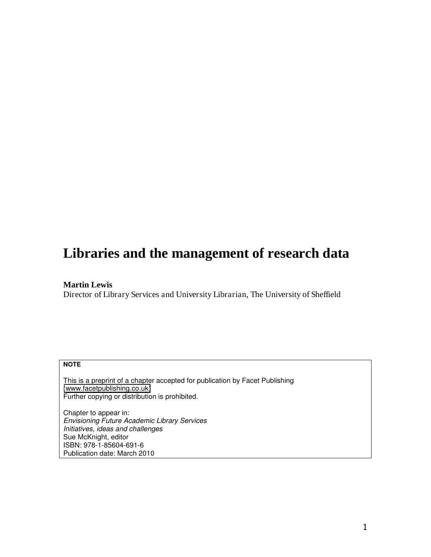# **Libraries and the management of research data**

#### **Martin Lewis**

Director of Library Services and University Librarian, The University of Sheffield

### **NOTE**

This is a preprint of a chapter accepted for publication by Facet Publishing [\(www.facetpublishing.co.uk\)](http://www.facetpublishing.co.uk/) Further copying or distribution is prohibited.

Chapter to appear in: *Envisioning Future Academic Library Services Initiatives, ideas and challenges*  Sue McKnight, editor ISBN: 978-1-85604-691-6 Publication date: March 2010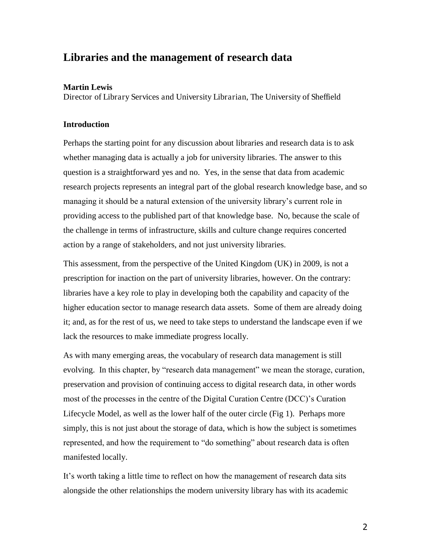## **Libraries and the management of research data**

#### **Martin Lewis**

Director of Library Services and University Librarian, The University of Sheffield

#### **Introduction**

Perhaps the starting point for any discussion about libraries and research data is to ask whether managing data is actually a job for university libraries. The answer to this question is a straightforward yes and no. Yes, in the sense that data from academic research projects represents an integral part of the global research knowledge base, and so managing it should be a natural extension of the university library's current role in providing access to the published part of that knowledge base. No, because the scale of the challenge in terms of infrastructure, skills and culture change requires concerted action by a range of stakeholders, and not just university libraries.

This assessment, from the perspective of the United Kingdom (UK) in 2009, is not a prescription for inaction on the part of university libraries, however. On the contrary: libraries have a key role to play in developing both the capability and capacity of the higher education sector to manage research data assets. Some of them are already doing it; and, as for the rest of us, we need to take steps to understand the landscape even if we lack the resources to make immediate progress locally.

As with many emerging areas, the vocabulary of research data management is still evolving. In this chapter, by "research data management" we mean the storage, curation, preservation and provision of continuing access to digital research data, in other words most of the processes in the centre of the Digital Curation Centre (DCC)'s Curation Lifecycle Model, as well as the lower half of the outer circle (Fig 1). Perhaps more simply, this is not just about the storage of data, which is how the subject is sometimes represented, and how the requirement to "do something" about research data is often manifested locally.

It's worth taking a little time to reflect on how the management of research data sits alongside the other relationships the modern university library has with its academic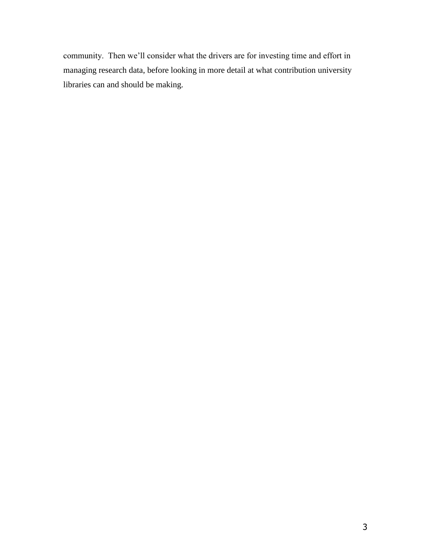community. Then we'll consider what the drivers are for investing time and effort in managing research data, before looking in more detail at what contribution university libraries can and should be making.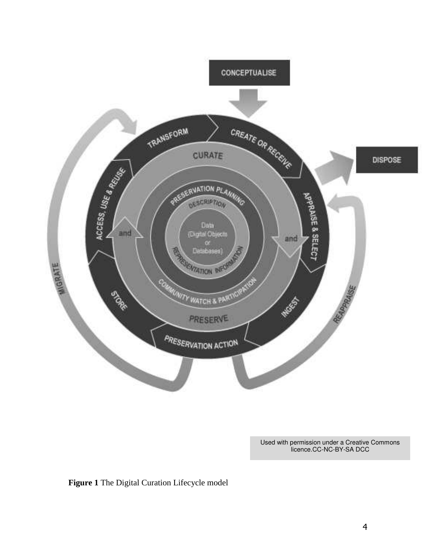

Used with permission under a Creative Commons licence.CC-NC-BY-SA DCC

**Figure 1** The Digital Curation Lifecycle model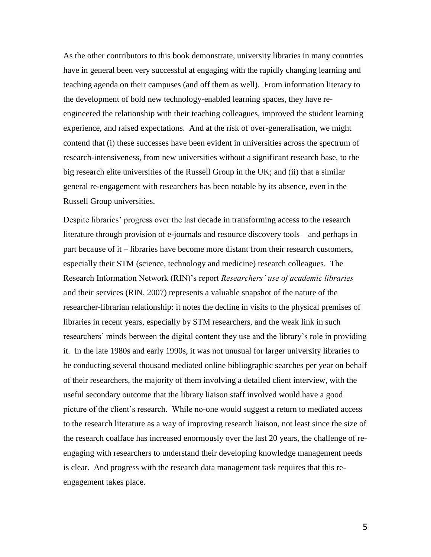As the other contributors to this book demonstrate, university libraries in many countries have in general been very successful at engaging with the rapidly changing learning and teaching agenda on their campuses (and off them as well). From information literacy to the development of bold new technology-enabled learning spaces, they have reengineered the relationship with their teaching colleagues, improved the student learning experience, and raised expectations. And at the risk of over-generalisation, we might contend that (i) these successes have been evident in universities across the spectrum of research-intensiveness, from new universities without a significant research base, to the big research elite universities of the Russell Group in the UK; and (ii) that a similar general re-engagement with researchers has been notable by its absence, even in the Russell Group universities.

Despite libraries' progress over the last decade in transforming access to the research literature through provision of e-journals and resource discovery tools – and perhaps in part because of it – libraries have become more distant from their research customers, especially their STM (science, technology and medicine) research colleagues. The Research Information Network (RIN)'s report *Researchers' use of academic libraries*  and their services (RIN, 2007) represents a valuable snapshot of the nature of the researcher-librarian relationship: it notes the decline in visits to the physical premises of libraries in recent years, especially by STM researchers, and the weak link in such researchers' minds between the digital content they use and the library's role in providing it. In the late 1980s and early 1990s, it was not unusual for larger university libraries to be conducting several thousand mediated online bibliographic searches per year on behalf of their researchers, the majority of them involving a detailed client interview, with the useful secondary outcome that the library liaison staff involved would have a good picture of the client's research. While no-one would suggest a return to mediated access to the research literature as a way of improving research liaison, not least since the size of the research coalface has increased enormously over the last 20 years, the challenge of reengaging with researchers to understand their developing knowledge management needs is clear. And progress with the research data management task requires that this reengagement takes place.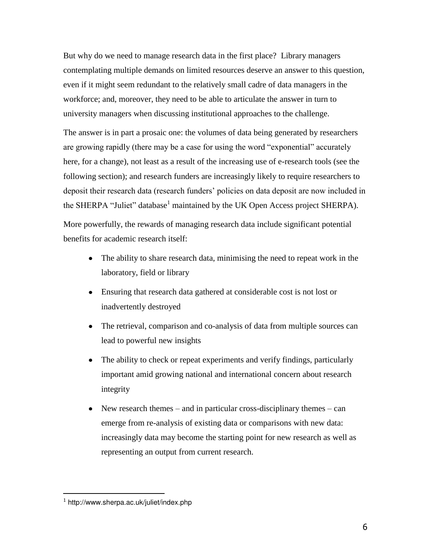But why do we need to manage research data in the first place? Library managers contemplating multiple demands on limited resources deserve an answer to this question, even if it might seem redundant to the relatively small cadre of data managers in the workforce; and, moreover, they need to be able to articulate the answer in turn to university managers when discussing institutional approaches to the challenge.

The answer is in part a prosaic one: the volumes of data being generated by researchers are growing rapidly (there may be a case for using the word "exponential" accurately here, for a change), not least as a result of the increasing use of e-research tools (see the following section); and research funders are increasingly likely to require researchers to deposit their research data (research funders' policies on data deposit are now included in the SHERPA "Juliet" database<sup>1</sup> maintained by the UK Open Access project SHERPA).

More powerfully, the rewards of managing research data include significant potential benefits for academic research itself:

- The ability to share research data, minimising the need to repeat work in the  $\bullet$ laboratory, field or library
- Ensuring that research data gathered at considerable cost is not lost or inadvertently destroyed
- The retrieval, comparison and co-analysis of data from multiple sources can lead to powerful new insights
- The ability to check or repeat experiments and verify findings, particularly  $\bullet$ important amid growing national and international concern about research integrity
- New research themes and in particular cross-disciplinary themes can emerge from re-analysis of existing data or comparisons with new data: increasingly data may become the starting point for new research as well as representing an output from current research.

<sup>1</sup> http://www.sherpa.ac.uk/juliet/index.php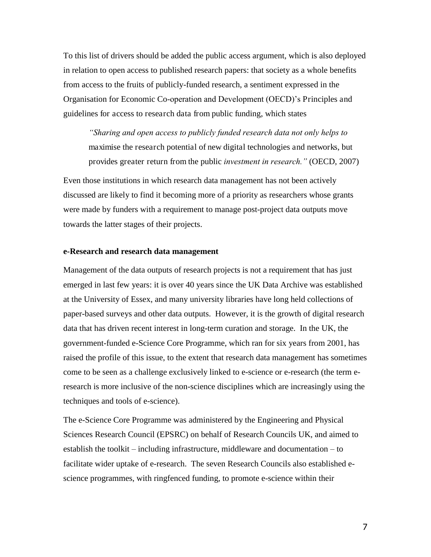To this list of drivers should be added the public access argument, which is also deployed in relation to open access to published research papers: that society as a whole benefits from access to the fruits of publicly-funded research, a sentiment expressed in the Organisation for Economic Co-operation and Development (OECD)'s Principles and guidelines for access to research data from public funding, which states

*"Sharing and open access to publicly funded research data not only helps to*  maximise the research potential of new digital technologies and networks, but provides greater return from the public *investment in research."* (OECD, 2007)

Even those institutions in which research data management has not been actively discussed are likely to find it becoming more of a priority as researchers whose grants were made by funders with a requirement to manage post-project data outputs move towards the latter stages of their projects.

#### **e-Research and research data management**

Management of the data outputs of research projects is not a requirement that has just emerged in last few years: it is over 40 years since the UK Data Archive was established at the University of Essex, and many university libraries have long held collections of paper-based surveys and other data outputs. However, it is the growth of digital research data that has driven recent interest in long-term curation and storage. In the UK, the government-funded e-Science Core Programme, which ran for six years from 2001, has raised the profile of this issue, to the extent that research data management has sometimes come to be seen as a challenge exclusively linked to e-science or e-research (the term eresearch is more inclusive of the non-science disciplines which are increasingly using the techniques and tools of e-science).

The e-Science Core Programme was administered by the Engineering and Physical Sciences Research Council (EPSRC) on behalf of Research Councils UK, and aimed to establish the toolkit – including infrastructure, middleware and documentation – to facilitate wider uptake of e-research. The seven Research Councils also established escience programmes, with ringfenced funding, to promote e-science within their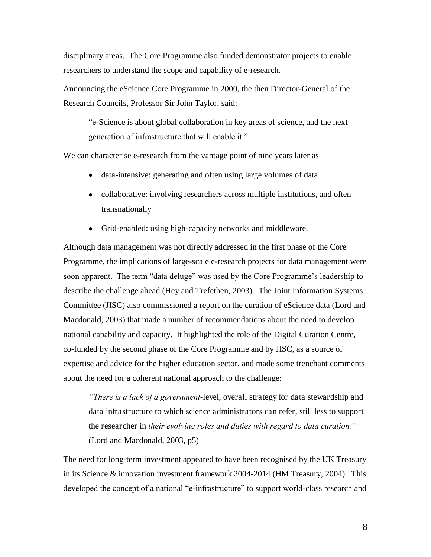disciplinary areas. The Core Programme also funded demonstrator projects to enable researchers to understand the scope and capability of e-research.

Announcing the eScience Core Programme in 2000, the then Director-General of the Research Councils, Professor Sir John Taylor, said:

"e-Science is about global collaboration in key areas of science, and the next generation of infrastructure that will enable it."

We can characterise e-research from the vantage point of nine years later as

- data-intensive: generating and often using large volumes of data
- collaborative: involving researchers across multiple institutions, and often transnationally
- Grid-enabled: using high-capacity networks and middleware.

Although data management was not directly addressed in the first phase of the Core Programme, the implications of large-scale e-research projects for data management were soon apparent. The term "data deluge" was used by the Core Programme's leadership to describe the challenge ahead (Hey and Trefethen, 2003). The Joint Information Systems Committee (JISC) also commissioned a report on the curation of eScience data (Lord and Macdonald, 2003) that made a number of recommendations about the need to develop national capability and capacity. It highlighted the role of the Digital Curation Centre, co-funded by the second phase of the Core Programme and by JISC, as a source of expertise and advice for the higher education sector, and made some trenchant comments about the need for a coherent national approach to the challenge:

*"There is a lack of a government*-level, overall strategy for data stewardship and data infrastructure to which science administrators can refer, still less to support the researcher in *their evolving roles and duties with regard to data curation."* (Lord and Macdonald, 2003, p5)

The need for long-term investment appeared to have been recognised by the UK Treasury in its Science & innovation investment framework 2004-2014 (HM Treasury, 2004). This developed the concept of a national "e-infrastructure" to support world-class research and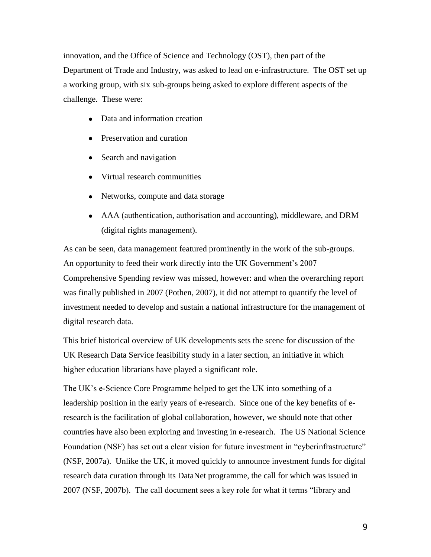innovation, and the Office of Science and Technology (OST), then part of the Department of Trade and Industry, was asked to lead on e-infrastructure. The OST set up a working group, with six sub-groups being asked to explore different aspects of the challenge. These were:

- Data and information creation
- Preservation and curation
- Search and navigation
- Virtual research communities
- Networks, compute and data storage
- AAA (authentication, authorisation and accounting), middleware, and DRM (digital rights management).

As can be seen, data management featured prominently in the work of the sub-groups. An opportunity to feed their work directly into the UK Government's 2007 Comprehensive Spending review was missed, however: and when the overarching report was finally published in 2007 (Pothen, 2007), it did not attempt to quantify the level of investment needed to develop and sustain a national infrastructure for the management of digital research data.

This brief historical overview of UK developments sets the scene for discussion of the UK Research Data Service feasibility study in a later section, an initiative in which higher education librarians have played a significant role.

The UK's e-Science Core Programme helped to get the UK into something of a leadership position in the early years of e-research. Since one of the key benefits of eresearch is the facilitation of global collaboration, however, we should note that other countries have also been exploring and investing in e-research. The US National Science Foundation (NSF) has set out a clear vision for future investment in "cyberinfrastructure" (NSF, 2007a). Unlike the UK, it moved quickly to announce investment funds for digital research data curation through its DataNet programme, the call for which was issued in 2007 (NSF, 2007b). The call document sees a key role for what it terms "library and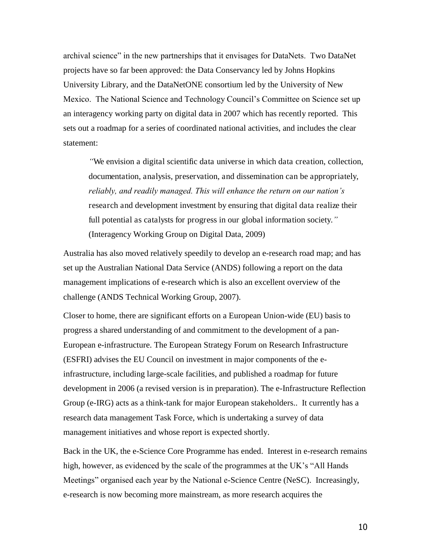archival science" in the new partnerships that it envisages for DataNets. Two DataNet projects have so far been approved: the Data Conservancy led by Johns Hopkins University Library, and the DataNetONE consortium led by the University of New Mexico. The National Science and Technology Council's Committee on Science set up an interagency working party on digital data in 2007 which has recently reported. This sets out a roadmap for a series of coordinated national activities, and includes the clear statement:

*"*We envision a digital scientific data universe in which data creation, collection, documentation, analysis, preservation, and dissemination can be appropriately, *reliably, and readily managed. This will enhance the return on our nation's*  research and development investment by ensuring that digital data realize their full potential as catalysts for progress in our global information society.*"*  (Interagency Working Group on Digital Data, 2009)

Australia has also moved relatively speedily to develop an e-research road map; and has set up the Australian National Data Service (ANDS) following a report on the data management implications of e-research which is also an excellent overview of the challenge (ANDS Technical Working Group, 2007).

Closer to home, there are significant efforts on a European Union-wide (EU) basis to progress a shared understanding of and commitment to the development of a pan-European e-infrastructure. The European Strategy Forum on Research Infrastructure (ESFRI) advises the EU Council on investment in major components of the einfrastructure, including large-scale facilities, and published a roadmap for future development in 2006 (a revised version is in preparation). The e-Infrastructure Reflection Group (e-IRG) acts as a think-tank for major European stakeholders.. It currently has a research data management Task Force, which is undertaking a survey of data management initiatives and whose report is expected shortly.

Back in the UK, the e-Science Core Programme has ended. Interest in e-research remains high, however, as evidenced by the scale of the programmes at the UK's "All Hands Meetings" organised each year by the National e-Science Centre (NeSC). Increasingly, e-research is now becoming more mainstream, as more research acquires the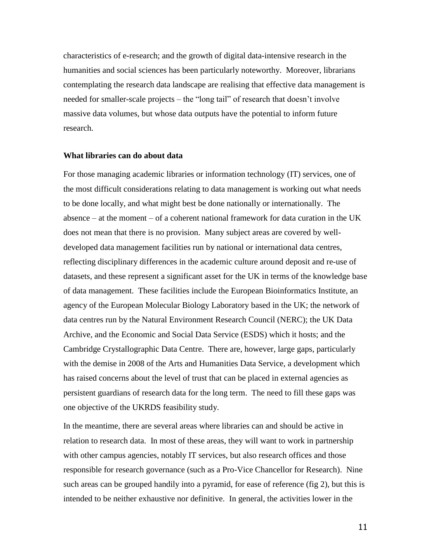characteristics of e-research; and the growth of digital data-intensive research in the humanities and social sciences has been particularly noteworthy. Moreover, librarians contemplating the research data landscape are realising that effective data management is needed for smaller-scale projects – the "long tail" of research that doesn't involve massive data volumes, but whose data outputs have the potential to inform future research.

#### **What libraries can do about data**

For those managing academic libraries or information technology (IT) services, one of the most difficult considerations relating to data management is working out what needs to be done locally, and what might best be done nationally or internationally. The absence – at the moment – of a coherent national framework for data curation in the UK does not mean that there is no provision. Many subject areas are covered by welldeveloped data management facilities run by national or international data centres, reflecting disciplinary differences in the academic culture around deposit and re-use of datasets, and these represent a significant asset for the UK in terms of the knowledge base of data management. These facilities include the European Bioinformatics Institute, an agency of the European Molecular Biology Laboratory based in the UK; the network of data centres run by the Natural Environment Research Council (NERC); the UK Data Archive, and the Economic and Social Data Service (ESDS) which it hosts; and the Cambridge Crystallographic Data Centre. There are, however, large gaps, particularly with the demise in 2008 of the Arts and Humanities Data Service, a development which has raised concerns about the level of trust that can be placed in external agencies as persistent guardians of research data for the long term. The need to fill these gaps was one objective of the UKRDS feasibility study.

In the meantime, there are several areas where libraries can and should be active in relation to research data. In most of these areas, they will want to work in partnership with other campus agencies, notably IT services, but also research offices and those responsible for research governance (such as a Pro-Vice Chancellor for Research). Nine such areas can be grouped handily into a pyramid, for ease of reference (fig 2), but this is intended to be neither exhaustive nor definitive. In general, the activities lower in the

11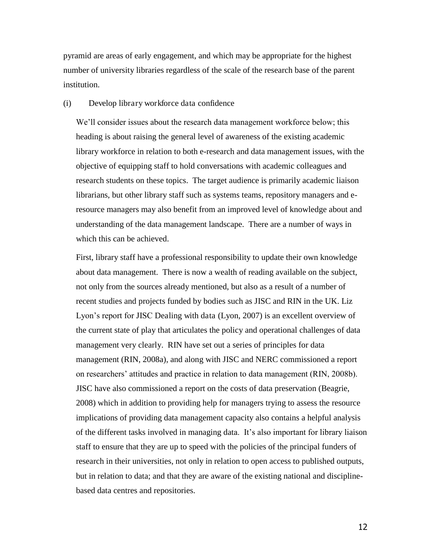pyramid are areas of early engagement, and which may be appropriate for the highest number of university libraries regardless of the scale of the research base of the parent institution.

#### (i) Develop library workforce data confidence

We'll consider issues about the research data management workforce below; this heading is about raising the general level of awareness of the existing academic library workforce in relation to both e-research and data management issues, with the objective of equipping staff to hold conversations with academic colleagues and research students on these topics. The target audience is primarily academic liaison librarians, but other library staff such as systems teams, repository managers and eresource managers may also benefit from an improved level of knowledge about and understanding of the data management landscape. There are a number of ways in which this can be achieved.

First, library staff have a professional responsibility to update their own knowledge about data management. There is now a wealth of reading available on the subject, not only from the sources already mentioned, but also as a result of a number of recent studies and projects funded by bodies such as JISC and RIN in the UK. Liz Lyon's report for JISC Dealing with data (Lyon, 2007) is an excellent overview of the current state of play that articulates the policy and operational challenges of data management very clearly. RIN have set out a series of principles for data management (RIN, 2008a), and along with JISC and NERC commissioned a report on researchers' attitudes and practice in relation to data management (RIN, 2008b). JISC have also commissioned a report on the costs of data preservation (Beagrie, 2008) which in addition to providing help for managers trying to assess the resource implications of providing data management capacity also contains a helpful analysis of the different tasks involved in managing data. It's also important for library liaison staff to ensure that they are up to speed with the policies of the principal funders of research in their universities, not only in relation to open access to published outputs, but in relation to data; and that they are aware of the existing national and disciplinebased data centres and repositories.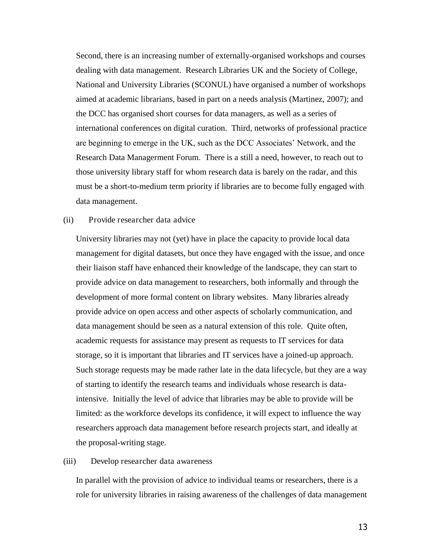Second, there is an increasing number of externally-organised workshops and courses dealing with data management. Research Libraries UK and the Society of College, National and University Libraries (SCONUL) have organised a number of workshops aimed at academic librarians, based in part on a needs analysis (Martinez, 2007); and the DCC has organised short courses for data managers, as well as a series of international conferences on digital curation. Third, networks of professional practice are beginning to emerge in the UK, such as the DCC Associates' Network, and the Research Data Managerment Forum. There is a still a need, however, to reach out to those university library staff for whom research data is barely on the radar, and this must be a short-to-medium term priority if libraries are to become fully engaged with data management.

#### (ii) Provide researcher data advice

University libraries may not (yet) have in place the capacity to provide local data management for digital datasets, but once they have engaged with the issue, and once their liaison staff have enhanced their knowledge of the landscape, they can start to provide advice on data management to researchers, both informally and through the development of more formal content on library websites. Many libraries already provide advice on open access and other aspects of scholarly communication, and data management should be seen as a natural extension of this role. Quite often, academic requests for assistance may present as requests to IT services for data storage, so it is important that libraries and IT services have a joined-up approach. Such storage requests may be made rather late in the data lifecycle, but they are a way of starting to identify the research teams and individuals whose research is dataintensive. Initially the level of advice that libraries may be able to provide will be limited: as the workforce develops its confidence, it will expect to influence the way researchers approach data management before research projects start, and ideally at the proposal-writing stage.

(iii) Develop researcher data awareness

In parallel with the provision of advice to individual teams or researchers, there is a role for university libraries in raising awareness of the challenges of data management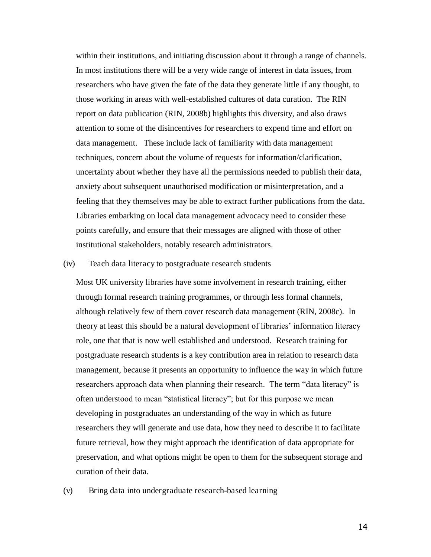within their institutions, and initiating discussion about it through a range of channels. In most institutions there will be a very wide range of interest in data issues, from researchers who have given the fate of the data they generate little if any thought, to those working in areas with well-established cultures of data curation. The RIN report on data publication (RIN, 2008b) highlights this diversity, and also draws attention to some of the disincentives for researchers to expend time and effort on data management. These include lack of familiarity with data management techniques, concern about the volume of requests for information/clarification, uncertainty about whether they have all the permissions needed to publish their data, anxiety about subsequent unauthorised modification or misinterpretation, and a feeling that they themselves may be able to extract further publications from the data. Libraries embarking on local data management advocacy need to consider these points carefully, and ensure that their messages are aligned with those of other institutional stakeholders, notably research administrators.

#### (iv) Teach data literacy to postgraduate research students

Most UK university libraries have some involvement in research training, either through formal research training programmes, or through less formal channels, although relatively few of them cover research data management (RIN, 2008c). In theory at least this should be a natural development of libraries' information literacy role, one that that is now well established and understood. Research training for postgraduate research students is a key contribution area in relation to research data management, because it presents an opportunity to influence the way in which future researchers approach data when planning their research. The term "data literacy" is often understood to mean "statistical literacy"; but for this purpose we mean developing in postgraduates an understanding of the way in which as future researchers they will generate and use data, how they need to describe it to facilitate future retrieval, how they might approach the identification of data appropriate for preservation, and what options might be open to them for the subsequent storage and curation of their data.

#### (v) Bring data into undergraduate research-based learning

14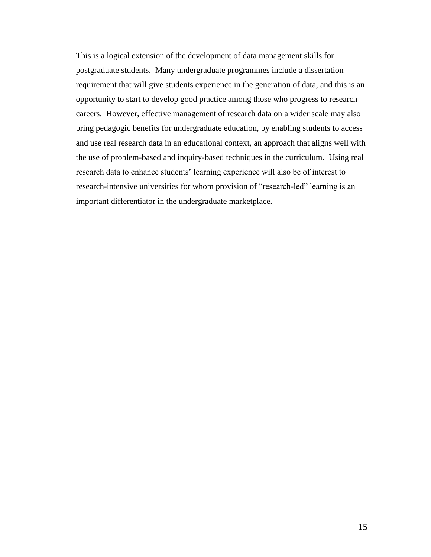This is a logical extension of the development of data management skills for postgraduate students. Many undergraduate programmes include a dissertation requirement that will give students experience in the generation of data, and this is an opportunity to start to develop good practice among those who progress to research careers. However, effective management of research data on a wider scale may also bring pedagogic benefits for undergraduate education, by enabling students to access and use real research data in an educational context, an approach that aligns well with the use of problem-based and inquiry-based techniques in the curriculum. Using real research data to enhance students' learning experience will also be of interest to research-intensive universities for whom provision of "research-led" learning is an important differentiator in the undergraduate marketplace.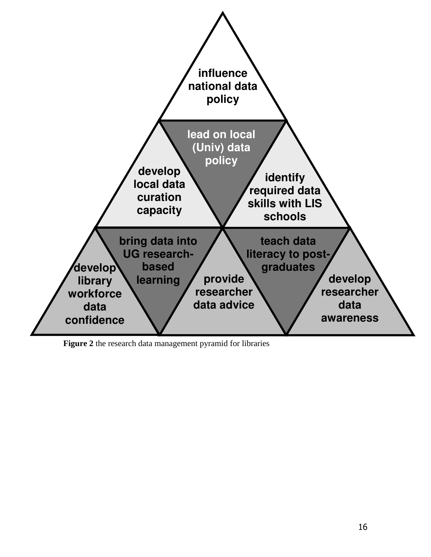

**Figure 2** the research data management pyramid for libraries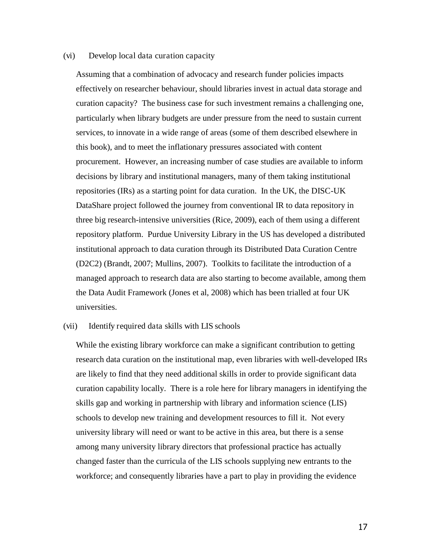#### (vi) Develop local data curation capacity

Assuming that a combination of advocacy and research funder policies impacts effectively on researcher behaviour, should libraries invest in actual data storage and curation capacity? The business case for such investment remains a challenging one, particularly when library budgets are under pressure from the need to sustain current services, to innovate in a wide range of areas (some of them described elsewhere in this book), and to meet the inflationary pressures associated with content procurement. However, an increasing number of case studies are available to inform decisions by library and institutional managers, many of them taking institutional repositories (IRs) as a starting point for data curation. In the UK, the DISC-UK DataShare project followed the journey from conventional IR to data repository in three big research-intensive universities (Rice, 2009), each of them using a different repository platform. Purdue University Library in the US has developed a distributed institutional approach to data curation through its Distributed Data Curation Centre (D2C2) (Brandt, 2007; Mullins, 2007). Toolkits to facilitate the introduction of a managed approach to research data are also starting to become available, among them the Data Audit Framework (Jones et al, 2008) which has been trialled at four UK universities.

#### (vii) Identify required data skills with LIS schools

While the existing library workforce can make a significant contribution to getting research data curation on the institutional map, even libraries with well-developed IRs are likely to find that they need additional skills in order to provide significant data curation capability locally. There is a role here for library managers in identifying the skills gap and working in partnership with library and information science (LIS) schools to develop new training and development resources to fill it. Not every university library will need or want to be active in this area, but there is a sense among many university library directors that professional practice has actually changed faster than the curricula of the LIS schools supplying new entrants to the workforce; and consequently libraries have a part to play in providing the evidence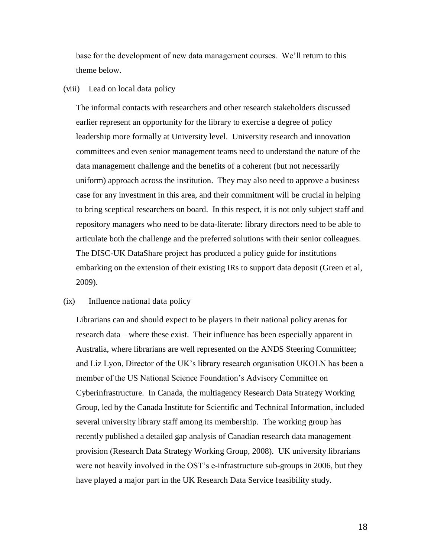base for the development of new data management courses. We'll return to this theme below.

#### (viii) Lead on local data policy

The informal contacts with researchers and other research stakeholders discussed earlier represent an opportunity for the library to exercise a degree of policy leadership more formally at University level. University research and innovation committees and even senior management teams need to understand the nature of the data management challenge and the benefits of a coherent (but not necessarily uniform) approach across the institution. They may also need to approve a business case for any investment in this area, and their commitment will be crucial in helping to bring sceptical researchers on board. In this respect, it is not only subject staff and repository managers who need to be data-literate: library directors need to be able to articulate both the challenge and the preferred solutions with their senior colleagues. The DISC-UK DataShare project has produced a policy guide for institutions embarking on the extension of their existing IRs to support data deposit (Green et al, 2009).

#### (ix) Influence national data policy

Librarians can and should expect to be players in their national policy arenas for research data – where these exist. Their influence has been especially apparent in Australia, where librarians are well represented on the ANDS Steering Committee; and Liz Lyon, Director of the UK's library research organisation UKOLN has been a member of the US National Science Foundation's Advisory Committee on Cyberinfrastructure. In Canada, the multiagency Research Data Strategy Working Group, led by the Canada Institute for Scientific and Technical Information, included several university library staff among its membership. The working group has recently published a detailed gap analysis of Canadian research data management provision (Research Data Strategy Working Group, 2008). UK university librarians were not heavily involved in the OST's e-infrastructure sub-groups in 2006, but they have played a major part in the UK Research Data Service feasibility study.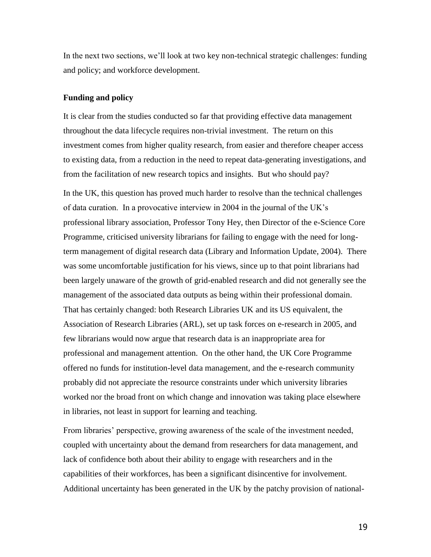In the next two sections, we'll look at two key non-technical strategic challenges: funding and policy; and workforce development.

#### **Funding and policy**

It is clear from the studies conducted so far that providing effective data management throughout the data lifecycle requires non-trivial investment. The return on this investment comes from higher quality research, from easier and therefore cheaper access to existing data, from a reduction in the need to repeat data-generating investigations, and from the facilitation of new research topics and insights. But who should pay?

In the UK, this question has proved much harder to resolve than the technical challenges of data curation. In a provocative interview in 2004 in the journal of the UK's professional library association, Professor Tony Hey, then Director of the e-Science Core Programme, criticised university librarians for failing to engage with the need for longterm management of digital research data (Library and Information Update, 2004). There was some uncomfortable justification for his views, since up to that point librarians had been largely unaware of the growth of grid-enabled research and did not generally see the management of the associated data outputs as being within their professional domain. That has certainly changed: both Research Libraries UK and its US equivalent, the Association of Research Libraries (ARL), set up task forces on e-research in 2005, and few librarians would now argue that research data is an inappropriate area for professional and management attention. On the other hand, the UK Core Programme offered no funds for institution-level data management, and the e-research community probably did not appreciate the resource constraints under which university libraries worked nor the broad front on which change and innovation was taking place elsewhere in libraries, not least in support for learning and teaching.

From libraries' perspective, growing awareness of the scale of the investment needed, coupled with uncertainty about the demand from researchers for data management, and lack of confidence both about their ability to engage with researchers and in the capabilities of their workforces, has been a significant disincentive for involvement. Additional uncertainty has been generated in the UK by the patchy provision of national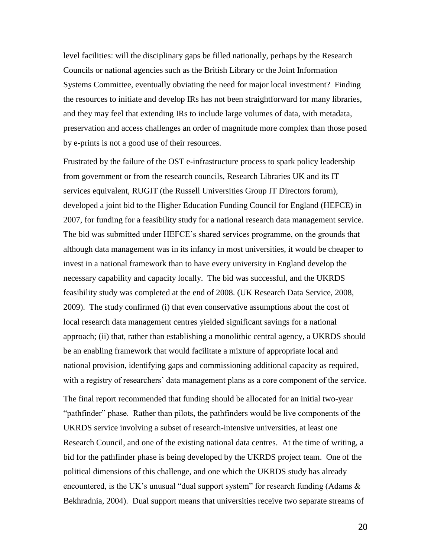level facilities: will the disciplinary gaps be filled nationally, perhaps by the Research Councils or national agencies such as the British Library or the Joint Information Systems Committee, eventually obviating the need for major local investment? Finding the resources to initiate and develop IRs has not been straightforward for many libraries, and they may feel that extending IRs to include large volumes of data, with metadata, preservation and access challenges an order of magnitude more complex than those posed by e-prints is not a good use of their resources.

Frustrated by the failure of the OST e-infrastructure process to spark policy leadership from government or from the research councils, Research Libraries UK and its IT services equivalent, RUGIT (the Russell Universities Group IT Directors forum), developed a joint bid to the Higher Education Funding Council for England (HEFCE) in 2007, for funding for a feasibility study for a national research data management service. The bid was submitted under HEFCE's shared services programme, on the grounds that although data management was in its infancy in most universities, it would be cheaper to invest in a national framework than to have every university in England develop the necessary capability and capacity locally. The bid was successful, and the UKRDS feasibility study was completed at the end of 2008. (UK Research Data Service, 2008, 2009). The study confirmed (i) that even conservative assumptions about the cost of local research data management centres yielded significant savings for a national approach; (ii) that, rather than establishing a monolithic central agency, a UKRDS should be an enabling framework that would facilitate a mixture of appropriate local and national provision, identifying gaps and commissioning additional capacity as required, with a registry of researchers' data management plans as a core component of the service.

The final report recommended that funding should be allocated for an initial two-year "pathfinder" phase. Rather than pilots, the pathfinders would be live components of the UKRDS service involving a subset of research-intensive universities, at least one Research Council, and one of the existing national data centres. At the time of writing, a bid for the pathfinder phase is being developed by the UKRDS project team. One of the political dimensions of this challenge, and one which the UKRDS study has already encountered, is the UK's unusual "dual support system" for research funding (Adams & Bekhradnia, 2004). Dual support means that universities receive two separate streams of

20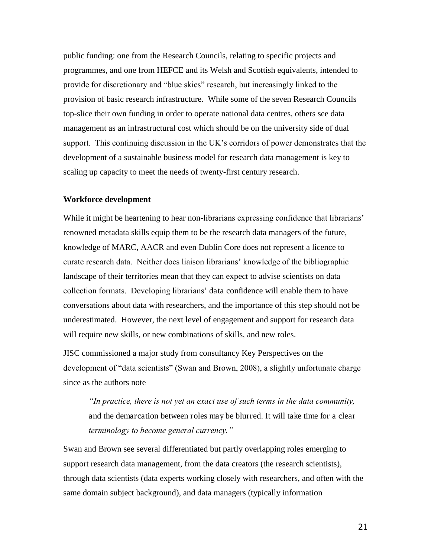public funding: one from the Research Councils, relating to specific projects and programmes, and one from HEFCE and its Welsh and Scottish equivalents, intended to provide for discretionary and "blue skies" research, but increasingly linked to the provision of basic research infrastructure. While some of the seven Research Councils top-slice their own funding in order to operate national data centres, others see data management as an infrastructural cost which should be on the university side of dual support. This continuing discussion in the UK's corridors of power demonstrates that the development of a sustainable business model for research data management is key to scaling up capacity to meet the needs of twenty-first century research.

#### **Workforce development**

While it might be heartening to hear non-librarians expressing confidence that librarians' renowned metadata skills equip them to be the research data managers of the future, knowledge of MARC, AACR and even Dublin Core does not represent a licence to curate research data. Neither does liaison librarians' knowledge of the bibliographic landscape of their territories mean that they can expect to advise scientists on data collection formats. Developing librarians' data confidence will enable them to have conversations about data with researchers, and the importance of this step should not be underestimated. However, the next level of engagement and support for research data will require new skills, or new combinations of skills, and new roles.

JISC commissioned a major study from consultancy Key Perspectives on the development of "data scientists" (Swan and Brown, 2008), a slightly unfortunate charge since as the authors note

*"In practice, there is not yet an exact use of such terms in the data community,*  and the demarcation between roles may be blurred. It will take time for a clear *terminology to become general currency."*

Swan and Brown see several differentiated but partly overlapping roles emerging to support research data management, from the data creators (the research scientists), through data scientists (data experts working closely with researchers, and often with the same domain subject background), and data managers (typically information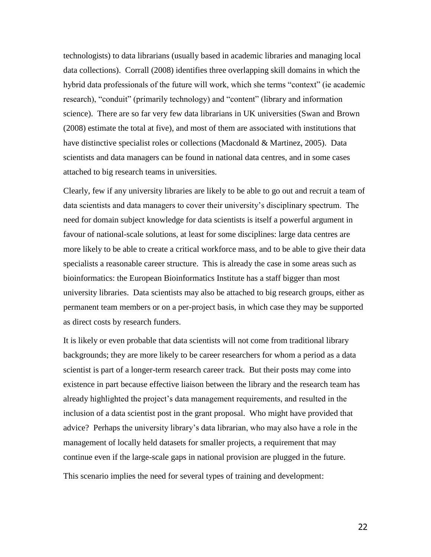technologists) to data librarians (usually based in academic libraries and managing local data collections). Corrall (2008) identifies three overlapping skill domains in which the hybrid data professionals of the future will work, which she terms "context" (ie academic research), "conduit" (primarily technology) and "content" (library and information science). There are so far very few data librarians in UK universities (Swan and Brown (2008) estimate the total at five), and most of them are associated with institutions that have distinctive specialist roles or collections (Macdonald & Martinez, 2005). Data scientists and data managers can be found in national data centres, and in some cases attached to big research teams in universities.

Clearly, few if any university libraries are likely to be able to go out and recruit a team of data scientists and data managers to cover their university's disciplinary spectrum. The need for domain subject knowledge for data scientists is itself a powerful argument in favour of national-scale solutions, at least for some disciplines: large data centres are more likely to be able to create a critical workforce mass, and to be able to give their data specialists a reasonable career structure. This is already the case in some areas such as bioinformatics: the European Bioinformatics Institute has a staff bigger than most university libraries. Data scientists may also be attached to big research groups, either as permanent team members or on a per-project basis, in which case they may be supported as direct costs by research funders.

It is likely or even probable that data scientists will not come from traditional library backgrounds; they are more likely to be career researchers for whom a period as a data scientist is part of a longer-term research career track. But their posts may come into existence in part because effective liaison between the library and the research team has already highlighted the project's data management requirements, and resulted in the inclusion of a data scientist post in the grant proposal. Who might have provided that advice? Perhaps the university library's data librarian, who may also have a role in the management of locally held datasets for smaller projects, a requirement that may continue even if the large-scale gaps in national provision are plugged in the future. This scenario implies the need for several types of training and development:

22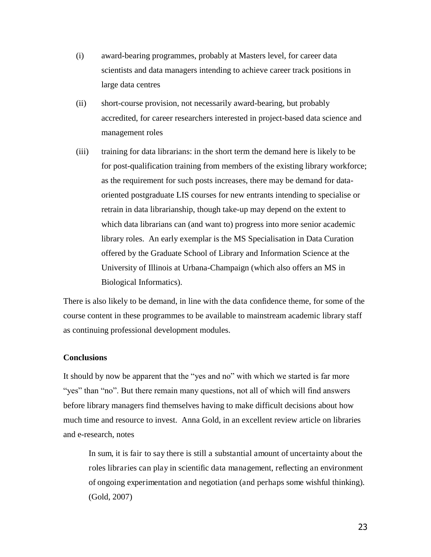- (i) award-bearing programmes, probably at Masters level, for career data scientists and data managers intending to achieve career track positions in large data centres
- (ii) short-course provision, not necessarily award-bearing, but probably accredited, for career researchers interested in project-based data science and management roles
- (iii) training for data librarians: in the short term the demand here is likely to be for post-qualification training from members of the existing library workforce; as the requirement for such posts increases, there may be demand for dataoriented postgraduate LIS courses for new entrants intending to specialise or retrain in data librarianship, though take-up may depend on the extent to which data librarians can (and want to) progress into more senior academic library roles. An early exemplar is the MS Specialisation in Data Curation offered by the Graduate School of Library and Information Science at the University of Illinois at Urbana-Champaign (which also offers an MS in Biological Informatics).

There is also likely to be demand, in line with the data confidence theme, for some of the course content in these programmes to be available to mainstream academic library staff as continuing professional development modules.

#### **Conclusions**

It should by now be apparent that the "yes and no" with which we started is far more "yes" than "no". But there remain many questions, not all of which will find answers before library managers find themselves having to make difficult decisions about how much time and resource to invest. Anna Gold, in an excellent review article on libraries and e-research, notes

In sum, it is fair to say there is still a substantial amount of uncertainty about the roles libraries can play in scientific data management, reflecting an environment of ongoing experimentation and negotiation (and perhaps some wishful thinking). (Gold, 2007)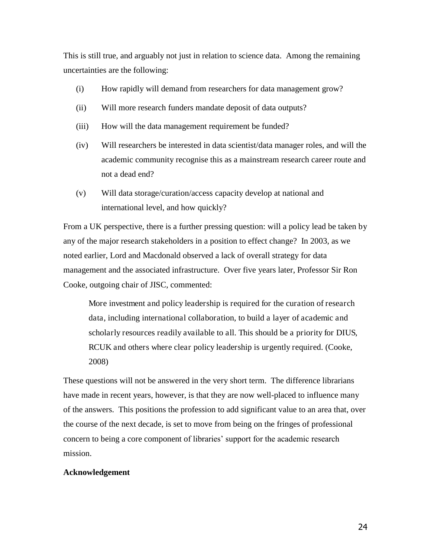This is still true, and arguably not just in relation to science data. Among the remaining uncertainties are the following:

- (i) How rapidly will demand from researchers for data management grow?
- (ii) Will more research funders mandate deposit of data outputs?
- (iii) How will the data management requirement be funded?
- (iv) Will researchers be interested in data scientist/data manager roles, and will the academic community recognise this as a mainstream research career route and not a dead end?
- (v) Will data storage/curation/access capacity develop at national and international level, and how quickly?

From a UK perspective, there is a further pressing question: will a policy lead be taken by any of the major research stakeholders in a position to effect change? In 2003, as we noted earlier, Lord and Macdonald observed a lack of overall strategy for data management and the associated infrastructure. Over five years later, Professor Sir Ron Cooke, outgoing chair of JISC, commented:

More investment and policy leadership is required for the curation of research data, including international collaboration, to build a layer of academic and scholarly resources readily available to all. This should be a priority for DIUS, RCUK and others where clear policy leadership is urgently required. (Cooke, 2008)

These questions will not be answered in the very short term. The difference librarians have made in recent years, however, is that they are now well-placed to influence many of the answers. This positions the profession to add significant value to an area that, over the course of the next decade, is set to move from being on the fringes of professional concern to being a core component of libraries' support for the academic research mission.

#### **Acknowledgement**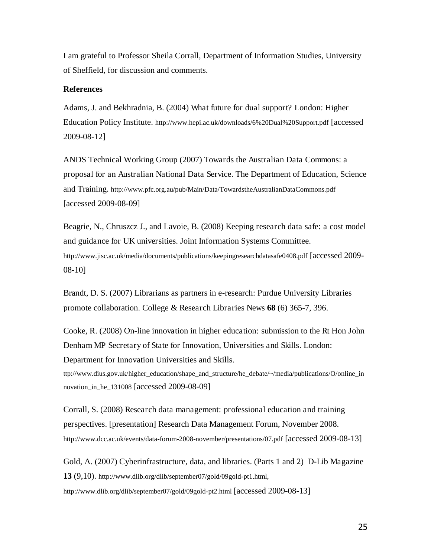I am grateful to Professor Sheila Corrall, Department of Information Studies, University of Sheffield, for discussion and comments.

#### **References**

Adams, J. and Bekhradnia, B. (2004) What future for dual support? London: Higher Education Policy Institute. http://www.hepi.ac.uk/downloads/6%20Dual%20Support.pdf [accessed 2009-08-12]

ANDS Technical Working Group (2007) Towards the Australian Data Commons: a proposal for an Australian National Data Service. The Department of Education, Science and Training. http://www.pfc.org.au/pub/Main/Data/TowardstheAustralianDataCommons.pdf [accessed 2009-08-09]

Beagrie, N., Chruszcz J., and Lavoie, B. (2008) Keeping research data safe: a cost model and guidance for UK universities. Joint Information Systems Committee. http://www.jisc.ac.uk/media/documents/publications/keepingresearchdatasafe0408.pdf [accessed 2009- 08-10]

Brandt, D. S. (2007) Librarians as partners in e-research: Purdue University Libraries promote collaboration. College & Research Libraries News **68** (6) 365-7, 396.

Cooke, R. (2008) On-line innovation in higher education: submission to the Rt Hon John Denham MP Secretary of State for Innovation, Universities and Skills. London: Department for Innovation Universities and Skills.

ttp://www.dius.gov.uk/higher\_education/shape\_and\_structure/he\_debate/~/media/publications/O/online\_in novation\_in\_he\_131008 [accessed 2009-08-09]

Corrall, S. (2008) Research data management: professional education and training perspectives. [presentation] Research Data Management Forum, November 2008. http://www.dcc.ac.uk/events/data-forum-2008-november/presentations/07.pdf [accessed 2009-08-13]

Gold, A. (2007) Cyberinfrastructure, data, and libraries. (Parts 1 and 2) D-Lib Magazine **13** (9,10). http://www.dlib.org/dlib/september07/gold/09gold-pt1.html, http://www.dlib.org/dlib/september07/gold/09gold-pt2.html [accessed 2009-08-13]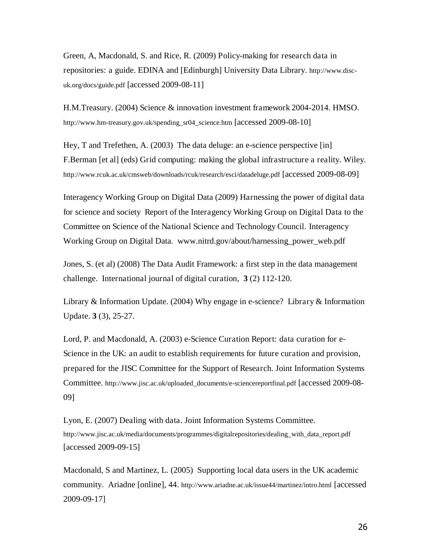Green, A, Macdonald, S. and Rice, R. (2009) Policy-making for research data in repositories: a guide. EDINA and [Edinburgh] University Data Library. http://www.discuk.org/docs/guide.pdf [accessed 2009-08-11]

H.M.Treasury. (2004) Science & innovation investment framework 2004-2014. HMSO. http://www.hm-treasury.gov.uk/spending\_sr04\_science.htm [accessed 2009-08-10]

Hey, T and Trefethen, A. (2003) The data deluge: an e-science perspective [in] F.Berman [et al] (eds) Grid computing: making the global infrastructure a reality. Wiley. http://www.rcuk.ac.uk/cmsweb/downloads/rcuk/research/esci/datadeluge.pdf [accessed 2009-08-09]

Interagency Working Group on Digital Data (2009) Harnessing the power of digital data for science and society Report of the Interagency Working Group on Digital Data to the Committee on Science of the National Science and Technology Council. Interagency Working Group on Digital Data. www.nitrd.gov/about/harnessing\_power\_web.pdf

Jones, S. (et al) (2008) The Data Audit Framework: a first step in the data management challenge. International journal of digital curation, **3** (2) 112-120.

Library & Information Update. (2004) Why engage in e-science? Library & Information Update. **3** (3), 25-27.

Lord, P. and Macdonald, A. (2003) e-Science Curation Report: data curation for e-Science in the UK: an audit to establish requirements for future curation and provision, prepared for the JISC Committee for the Support of Research. Joint Information Systems Committee. http://www.jisc.ac.uk/uploaded\_documents/e-sciencereportfinal.pdf [accessed 2009-08- 09]

Lyon, E. (2007) Dealing with data. Joint Information Systems Committee. http://www.jisc.ac.uk/media/documents/programmes/digitalrepositories/dealing\_with\_data\_report.pdf [accessed 2009-09-15]

Macdonald, S and Martinez, L. (2005) Supporting local data users in the UK academic community. Ariadne [online], 44. http://www.ariadne.ac.uk/issue44/martinez/intro.html [accessed 2009-09-17]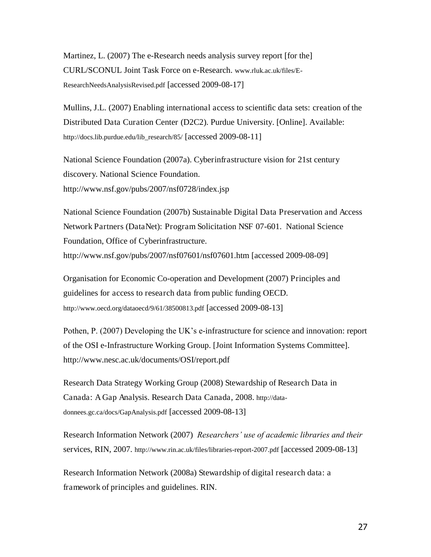Martinez, L. (2007) The e-Research needs analysis survey report [for the] CURL/SCONUL Joint Task Force on e-Research. www.rluk.ac.uk/files/E-ResearchNeedsAnalysisRevised.pdf [accessed 2009-08-17]

Mullins, J.L. (2007) Enabling international access to scientific data sets: creation of the Distributed Data Curation Center (D2C2). Purdue University. [Online]. Available: http://docs.lib.purdue.edu/lib\_research/85/ [accessed 2009-08-11]

National Science Foundation (2007a). Cyberinfrastructure vision for 21st century discovery. National Science Foundation. http://www.nsf.gov/pubs/2007/nsf0728/index.jsp

National Science Foundation (2007b) Sustainable Digital Data Preservation and Access Network Partners (DataNet): Program Solicitation NSF 07-601. National Science Foundation, Office of Cyberinfrastructure. http://www.nsf.gov/pubs/2007/nsf07601/nsf07601.htm [accessed 2009-08-09]

Organisation for Economic Co-operation and Development (2007) Principles and guidelines for access to research data from public funding OECD. http://www.oecd.org/dataoecd/9/61/38500813.pdf [accessed 2009-08-13]

Pothen, P. (2007) Developing the UK's e-infrastructure for science and innovation: report of the OSI e-Infrastructure Working Group. [Joint Information Systems Committee]. http://www.nesc.ac.uk/documents/OSI/report.pdf

Research Data Strategy Working Group (2008) Stewardship of Research Data in Canada: A Gap Analysis. Research Data Canada, 2008. http://datadonnees.gc.ca/docs/GapAnalysis.pdf [accessed 2009-08-13]

Research Information Network (2007) *Researchers' use of academic libraries and their*  services, RIN, 2007. http://www.rin.ac.uk/files/libraries-report-2007.pdf [accessed 2009-08-13]

Research Information Network (2008a) Stewardship of digital research data: a framework of principles and guidelines. RIN.